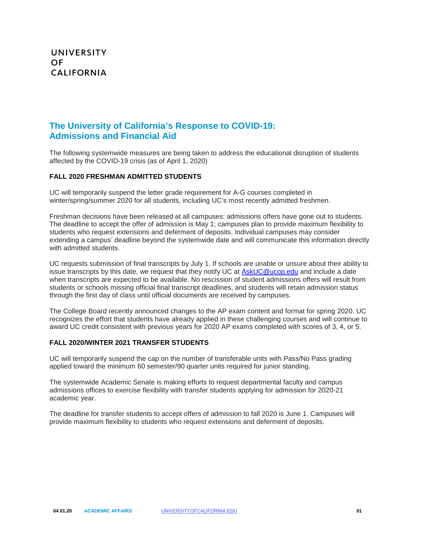# **The University of California's Response to COVID-19: Admissions and Financial Aid**

The following systemwide measures are being taken to address the educational disruption of students affected by the COVID-19 crisis (as of April 1, 2020)

### **FALL 2020 FRESHMAN ADMITTED STUDENTS**

 winter/spring/summer 2020 for all students, including UC's most recently admitted freshmen. UC will temporarily suspend the letter grade requirement for A-G courses completed in

 The deadline to accept the offer of admission is May 1; campuses plan to provide maximum flexibility to Freshman decisions have been released at all campuses: admissions offers have gone out to students. students who request extensions and deferment of deposits. Individual campuses may consider extending a campus' deadline beyond the systemwide date and will communicate this information directly with admitted students.

issue transcripts by this date, we request that they notify UC at **AskUC@ucop.edu** and include a date UC requests submission of final transcripts by July 1. If schools are unable or unsure about their ability to when transcripts are expected to be available. No rescission of student admissions offers will result from students or schools missing official final transcript deadlines, and students will retain admission status through the first day of class until official documents are received by campuses.

 award UC credit consistent with previous years for 2020 AP exams completed with scores of 3, 4, or 5. The College Board recently announced changes to the AP exam content and format for spring 2020. UC recognizes the effort that students have already applied in these challenging courses and will continue to

#### **FALL 2020/WINTER 2021 TRANSFER STUDENTS**

applied toward the minimum 60 semester/90 quarter units required for junior standing. UC will temporarily suspend the cap on the number of transferable units with Pass/No Pass grading

academic vear. The systemwide Academic Senate is making efforts to request departmental faculty and campus admissions offices to exercise flexibility with transfer students applying for admission for 2020-21

 provide maximum flexibility to students who request extensions and deferment of deposits. The deadline for transfer students to accept offers of admission to fall 2020 is June 1. Campuses will